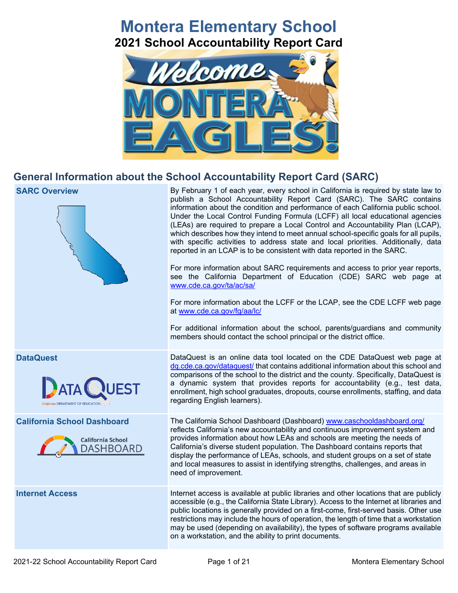# **Montera Elementary School 2021 School Accountability Report Card**



# **General Information about the School Accountability Report Card (SARC)**

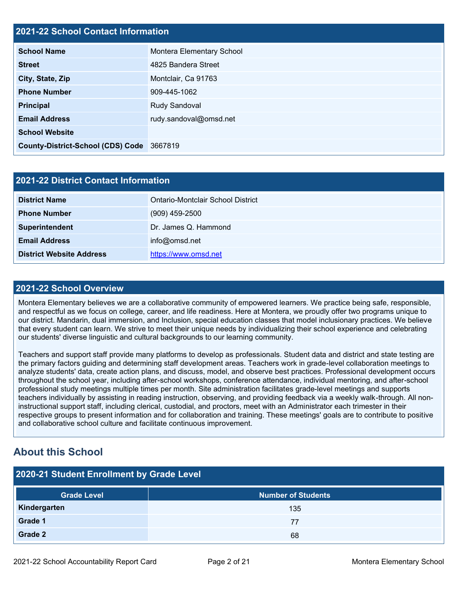# **2021-22 School Contact Information**

| <u> Eve i ee gongol gontagt mighination</u> |                           |  |  |  |
|---------------------------------------------|---------------------------|--|--|--|
| <b>School Name</b>                          | Montera Elementary School |  |  |  |
| <b>Street</b>                               | 4825 Bandera Street       |  |  |  |
| City, State, Zip                            | Montclair, Ca 91763       |  |  |  |
| <b>Phone Number</b>                         | 909-445-1062              |  |  |  |
| <b>Principal</b>                            | <b>Rudy Sandoval</b>      |  |  |  |
| <b>Email Address</b>                        | rudy.sandoval@omsd.net    |  |  |  |
| <b>School Website</b>                       |                           |  |  |  |
| <b>County-District-School (CDS) Code</b>    | 3667819                   |  |  |  |

| <b>2021-22 District Contact Information</b> |                                   |  |  |
|---------------------------------------------|-----------------------------------|--|--|
| <b>District Name</b>                        | Ontario-Montclair School District |  |  |
| <b>Phone Number</b>                         | $(909)$ 459-2500                  |  |  |
| Superintendent                              | Dr. James Q. Hammond              |  |  |
| <b>Email Address</b>                        | info@omsd.net                     |  |  |
| <b>District Website Address</b>             | https://www.omsd.net              |  |  |

### **2021-22 School Overview**

Montera Elementary believes we are a collaborative community of empowered learners. We practice being safe, responsible, and respectful as we focus on college, career, and life readiness. Here at Montera, we proudly offer two programs unique to our district. Mandarin, dual immersion, and Inclusion, special education classes that model inclusionary practices. We believe that every student can learn. We strive to meet their unique needs by individualizing their school experience and celebrating our students' diverse linguistic and cultural backgrounds to our learning community.

Teachers and support staff provide many platforms to develop as professionals. Student data and district and state testing are the primary factors guiding and determining staff development areas. Teachers work in grade-level collaboration meetings to analyze students' data, create action plans, and discuss, model, and observe best practices. Professional development occurs throughout the school year, including after-school workshops, conference attendance, individual mentoring, and after-school professional study meetings multiple times per month. Site administration facilitates grade-level meetings and supports teachers individually by assisting in reading instruction, observing, and providing feedback via a weekly walk-through. All noninstructional support staff, including clerical, custodial, and proctors, meet with an Administrator each trimester in their respective groups to present information and for collaboration and training. These meetings' goals are to contribute to positive and collaborative school culture and facilitate continuous improvement.

# **About this School**

| 2020-21 Student Enrollment by Grade Level |                           |  |  |  |
|-------------------------------------------|---------------------------|--|--|--|
| <b>Grade Level</b>                        | <b>Number of Students</b> |  |  |  |
| Kindergarten                              | 135                       |  |  |  |
| Grade 1                                   | 77                        |  |  |  |
| <b>Grade 2</b>                            | 68                        |  |  |  |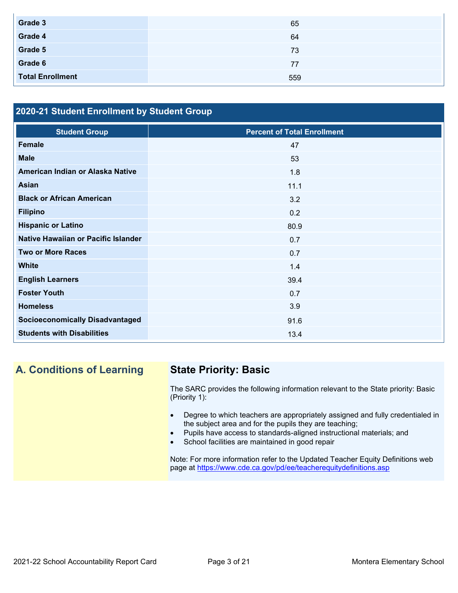| Grade 3                 | 65  |
|-------------------------|-----|
| Grade 4                 | 64  |
| Grade 5                 | 73  |
| Grade 6                 | 77  |
| <b>Total Enrollment</b> | 559 |

# **2020-21 Student Enrollment by Student Group**

| <b>Student Group</b>                   | <b>Percent of Total Enrollment</b> |
|----------------------------------------|------------------------------------|
| <b>Female</b>                          | 47                                 |
| <b>Male</b>                            | 53                                 |
| American Indian or Alaska Native       | 1.8                                |
| Asian                                  | 11.1                               |
| <b>Black or African American</b>       | 3.2                                |
| <b>Filipino</b>                        | 0.2                                |
| <b>Hispanic or Latino</b>              | 80.9                               |
| Native Hawaiian or Pacific Islander    | 0.7                                |
| <b>Two or More Races</b>               | 0.7                                |
| <b>White</b>                           | 1.4                                |
| <b>English Learners</b>                | 39.4                               |
| <b>Foster Youth</b>                    | 0.7                                |
| <b>Homeless</b>                        | 3.9                                |
| <b>Socioeconomically Disadvantaged</b> | 91.6                               |
| <b>Students with Disabilities</b>      | 13.4                               |

# **A. Conditions of Learning State Priority: Basic**

The SARC provides the following information relevant to the State priority: Basic (Priority 1):

- Degree to which teachers are appropriately assigned and fully credentialed in the subject area and for the pupils they are teaching;
- Pupils have access to standards-aligned instructional materials; and
- School facilities are maintained in good repair

Note: For more information refer to the Updated Teacher Equity Definitions web page at<https://www.cde.ca.gov/pd/ee/teacherequitydefinitions.asp>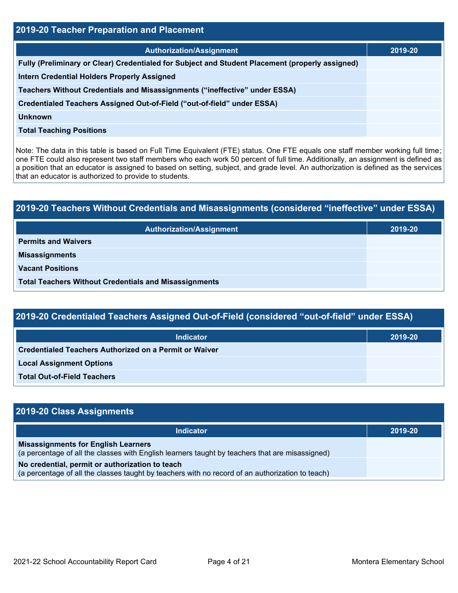| 2019-20 Teacher Preparation and Placement                                                       |         |  |  |  |
|-------------------------------------------------------------------------------------------------|---------|--|--|--|
| <b>Authorization/Assignment</b>                                                                 | 2019-20 |  |  |  |
| Fully (Preliminary or Clear) Credentialed for Subject and Student Placement (properly assigned) |         |  |  |  |
| <b>Intern Credential Holders Properly Assigned</b>                                              |         |  |  |  |
| Teachers Without Credentials and Misassignments ("ineffective" under ESSA)                      |         |  |  |  |
| Credentialed Teachers Assigned Out-of-Field ("out-of-field" under ESSA)                         |         |  |  |  |
| <b>Unknown</b>                                                                                  |         |  |  |  |
| <b>Total Teaching Positions</b>                                                                 |         |  |  |  |

Note: The data in this table is based on Full Time Equivalent (FTE) status. One FTE equals one staff member working full time; one FTE could also represent two staff members who each work 50 percent of full time. Additionally, an assignment is defined as a position that an educator is assigned to based on setting, subject, and grade level. An authorization is defined as the services that an educator is authorized to provide to students.

# **2019-20 Teachers Without Credentials and Misassignments (considered "ineffective" under ESSA) Authorization/Assignment 2019-20 Permits and Waivers Misassignments Vacant Positions Total Teachers Without Credentials and Misassignments**

| 2019-20 Credentialed Teachers Assigned Out-of-Field (considered "out-of-field" under ESSA) |         |  |  |  |
|--------------------------------------------------------------------------------------------|---------|--|--|--|
| <b>Indicator</b>                                                                           | 2019-20 |  |  |  |
| Credentialed Teachers Authorized on a Permit or Waiver                                     |         |  |  |  |
| <b>Local Assignment Options</b>                                                            |         |  |  |  |
| <b>Total Out-of-Field Teachers</b>                                                         |         |  |  |  |

| 2019-20 Class Assignments                                                                                                                           |         |
|-----------------------------------------------------------------------------------------------------------------------------------------------------|---------|
| <b>Indicator</b>                                                                                                                                    | 2019-20 |
| <b>Misassignments for English Learners</b><br>(a percentage of all the classes with English learners taught by teachers that are misassigned)       |         |
| No credential, permit or authorization to teach<br>(a percentage of all the classes taught by teachers with no record of an authorization to teach) |         |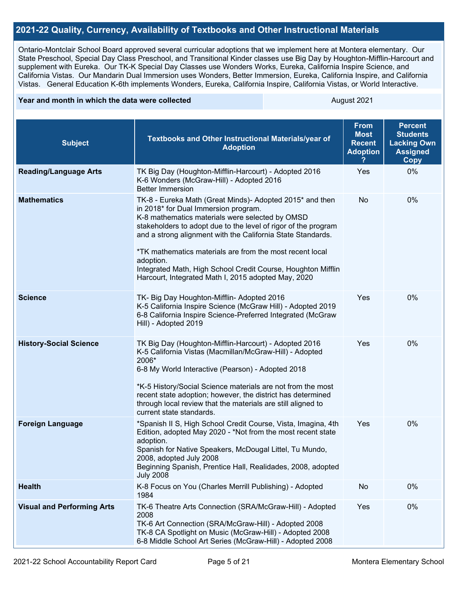## **2021-22 Quality, Currency, Availability of Textbooks and Other Instructional Materials**

Ontario-Montclair School Board approved several curricular adoptions that we implement here at Montera elementary. Our State Preschool, Special Day Class Preschool, and Transitional Kinder classes use Big Day by Houghton-Mifflin-Harcourt and supplement with Eureka. Our TK-K Special Day Classes use Wonders Works, Eureka, California Inspire Science, and California Vistas. Our Mandarin Dual Immersion uses Wonders, Better Immersion, Eureka, California Inspire, and California Vistas. General Education K-6th implements Wonders, Eureka, California Inspire, California Vistas, or World Interactive.

### **Year and month in which the data were collected** August 2021

| <b>Subject</b>                    | Textbooks and Other Instructional Materials/year of<br><b>Adoption</b>                                                                                                                                                                                                                                                                                                                                                                                                               | <b>From</b><br><b>Most</b><br><b>Recent</b><br><b>Adoption</b> | <b>Percent</b><br><b>Students</b><br><b>Lacking Own</b><br><b>Assigned</b><br><b>Copy</b> |
|-----------------------------------|--------------------------------------------------------------------------------------------------------------------------------------------------------------------------------------------------------------------------------------------------------------------------------------------------------------------------------------------------------------------------------------------------------------------------------------------------------------------------------------|----------------------------------------------------------------|-------------------------------------------------------------------------------------------|
| <b>Reading/Language Arts</b>      | TK Big Day (Houghton-Mifflin-Harcourt) - Adopted 2016<br>K-6 Wonders (McGraw-Hill) - Adopted 2016<br><b>Better Immersion</b>                                                                                                                                                                                                                                                                                                                                                         | Yes                                                            | 0%                                                                                        |
| <b>Mathematics</b>                | TK-8 - Eureka Math (Great Minds)- Adopted 2015* and then<br>in 2018* for Dual Immersion program.<br>K-8 mathematics materials were selected by OMSD<br>stakeholders to adopt due to the level of rigor of the program<br>and a strong alignment with the California State Standards.<br>*TK mathematics materials are from the most recent local<br>adoption.<br>Integrated Math, High School Credit Course, Houghton Mifflin<br>Harcourt, Integrated Math I, 2015 adopted May, 2020 | No                                                             | 0%                                                                                        |
| <b>Science</b>                    | TK- Big Day Houghton-Mifflin- Adopted 2016<br>K-5 California Inspire Science (McGraw Hill) - Adopted 2019<br>6-8 California Inspire Science-Preferred Integrated (McGraw<br>Hill) - Adopted 2019                                                                                                                                                                                                                                                                                     | Yes                                                            | 0%                                                                                        |
| <b>History-Social Science</b>     | TK Big Day (Houghton-Mifflin-Harcourt) - Adopted 2016<br>K-5 California Vistas (Macmillan/McGraw-Hill) - Adopted<br>2006*<br>6-8 My World Interactive (Pearson) - Adopted 2018<br>*K-5 History/Social Science materials are not from the most<br>recent state adoption; however, the district has determined<br>through local review that the materials are still aligned to<br>current state standards.                                                                             | Yes                                                            | 0%                                                                                        |
| <b>Foreign Language</b>           | *Spanish II S, High School Credit Course, Vista, Imagina, 4th<br>Edition, adopted May 2020 - *Not from the most recent state<br>adoption.<br>Spanish for Native Speakers, McDougal Littel, Tu Mundo,<br>2008, adopted July 2008<br>Beginning Spanish, Prentice Hall, Realidades, 2008, adopted<br><b>July 2008</b>                                                                                                                                                                   | Yes                                                            | 0%                                                                                        |
| <b>Health</b>                     | K-8 Focus on You (Charles Merrill Publishing) - Adopted<br>1984                                                                                                                                                                                                                                                                                                                                                                                                                      | No                                                             | 0%                                                                                        |
| <b>Visual and Performing Arts</b> | TK-6 Theatre Arts Connection (SRA/McGraw-Hill) - Adopted<br>2008<br>TK-6 Art Connection (SRA/McGraw-Hill) - Adopted 2008<br>TK-8 CA Spotlight on Music (McGraw-Hill) - Adopted 2008<br>6-8 Middle School Art Series (McGraw-Hill) - Adopted 2008                                                                                                                                                                                                                                     | Yes                                                            | 0%                                                                                        |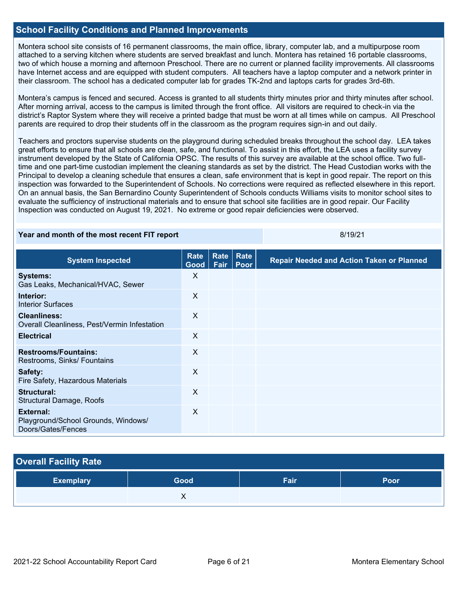### **School Facility Conditions and Planned Improvements**

Montera school site consists of 16 permanent classrooms, the main office, library, computer lab, and a multipurpose room attached to a serving kitchen where students are served breakfast and lunch. Montera has retained 16 portable classrooms, two of which house a morning and afternoon Preschool. There are no current or planned facility improvements. All classrooms have Internet access and are equipped with student computers. All teachers have a laptop computer and a network printer in their classroom. The school has a dedicated computer lab for grades TK-2nd and laptops carts for grades 3rd-6th.

Montera's campus is fenced and secured. Access is granted to all students thirty minutes prior and thirty minutes after school. After morning arrival, access to the campus is limited through the front office. All visitors are required to check-in via the district's Raptor System where they will receive a printed badge that must be worn at all times while on campus. All Preschool parents are required to drop their students off in the classroom as the program requires sign-in and out daily.

Teachers and proctors supervise students on the playground during scheduled breaks throughout the school day. LEA takes great efforts to ensure that all schools are clean, safe, and functional. To assist in this effort, the LEA uses a facility survey instrument developed by the State of California OPSC. The results of this survey are available at the school office. Two fulltime and one part-time custodian implement the cleaning standards as set by the district. The Head Custodian works with the Principal to develop a cleaning schedule that ensures a clean, safe environment that is kept in good repair. The report on this inspection was forwarded to the Superintendent of Schools. No corrections were required as reflected elsewhere in this report. On an annual basis, the San Bernardino County Superintendent of Schools conducts Williams visits to monitor school sites to evaluate the sufficiency of instructional materials and to ensure that school site facilities are in good repair. Our Facility Inspection was conducted on August 19, 2021. No extreme or good repair deficiencies were observed.

### **Year and month of the most recent FIT report** 8/19/21

|                                                                        | Rate | Rate | Rate |                                                  |
|------------------------------------------------------------------------|------|------|------|--------------------------------------------------|
| <b>System Inspected</b>                                                | Good | Fair | Poor | <b>Repair Needed and Action Taken or Planned</b> |
| <b>Systems:</b><br>Gas Leaks, Mechanical/HVAC, Sewer                   | X    |      |      |                                                  |
| Interior:<br><b>Interior Surfaces</b>                                  | X    |      |      |                                                  |
| <b>Cleanliness:</b><br>Overall Cleanliness, Pest/Vermin Infestation    | X    |      |      |                                                  |
| <b>Electrical</b>                                                      | X    |      |      |                                                  |
| <b>Restrooms/Fountains:</b><br>Restrooms, Sinks/ Fountains             | X    |      |      |                                                  |
| Safety:<br>Fire Safety, Hazardous Materials                            | X    |      |      |                                                  |
| <b>Structural:</b><br>Structural Damage, Roofs                         | X    |      |      |                                                  |
| External:<br>Playground/School Grounds, Windows/<br>Doors/Gates/Fences | X    |      |      |                                                  |

### **Overall Facility Rate**

| <b>Exemplary</b> | Good <sup>1</sup> | Fair | Poor |
|------------------|-------------------|------|------|
|                  |                   |      |      |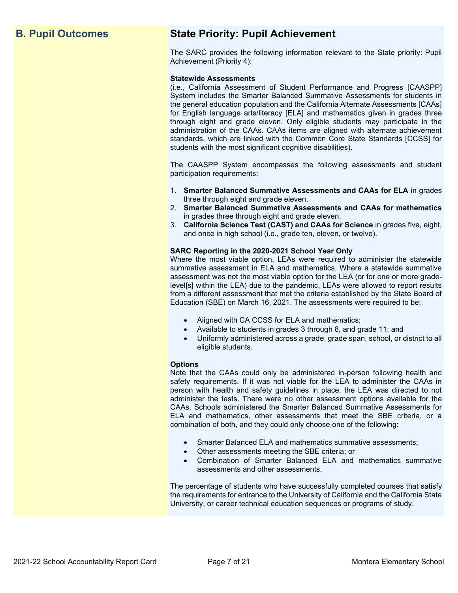# **B. Pupil Outcomes State Priority: Pupil Achievement**

The SARC provides the following information relevant to the State priority: Pupil Achievement (Priority 4):

### **Statewide Assessments**

(i.e., California Assessment of Student Performance and Progress [CAASPP] System includes the Smarter Balanced Summative Assessments for students in the general education population and the California Alternate Assessments [CAAs] for English language arts/literacy [ELA] and mathematics given in grades three through eight and grade eleven. Only eligible students may participate in the administration of the CAAs. CAAs items are aligned with alternate achievement standards, which are linked with the Common Core State Standards [CCSS] for students with the most significant cognitive disabilities).

The CAASPP System encompasses the following assessments and student participation requirements:

- 1. **Smarter Balanced Summative Assessments and CAAs for ELA** in grades three through eight and grade eleven.
- 2. **Smarter Balanced Summative Assessments and CAAs for mathematics** in grades three through eight and grade eleven.
- 3. **California Science Test (CAST) and CAAs for Science** in grades five, eight, and once in high school (i.e., grade ten, eleven, or twelve).

### **SARC Reporting in the 2020-2021 School Year Only**

Where the most viable option, LEAs were required to administer the statewide summative assessment in ELA and mathematics. Where a statewide summative assessment was not the most viable option for the LEA (or for one or more gradelevel[s] within the LEA) due to the pandemic, LEAs were allowed to report results from a different assessment that met the criteria established by the State Board of Education (SBE) on March 16, 2021. The assessments were required to be:

- Aligned with CA CCSS for ELA and mathematics;
- Available to students in grades 3 through 8, and grade 11; and
- Uniformly administered across a grade, grade span, school, or district to all eligible students.

### **Options**

Note that the CAAs could only be administered in-person following health and safety requirements. If it was not viable for the LEA to administer the CAAs in person with health and safety guidelines in place, the LEA was directed to not administer the tests. There were no other assessment options available for the CAAs. Schools administered the Smarter Balanced Summative Assessments for ELA and mathematics, other assessments that meet the SBE criteria, or a combination of both, and they could only choose one of the following:

- Smarter Balanced ELA and mathematics summative assessments;
- Other assessments meeting the SBE criteria; or
- Combination of Smarter Balanced ELA and mathematics summative assessments and other assessments.

The percentage of students who have successfully completed courses that satisfy the requirements for entrance to the University of California and the California State University, or career technical education sequences or programs of study.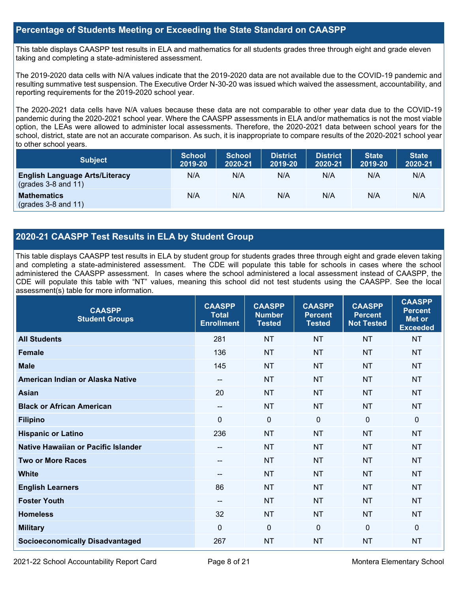## **Percentage of Students Meeting or Exceeding the State Standard on CAASPP**

This table displays CAASPP test results in ELA and mathematics for all students grades three through eight and grade eleven taking and completing a state-administered assessment.

The 2019-2020 data cells with N/A values indicate that the 2019-2020 data are not available due to the COVID-19 pandemic and resulting summative test suspension. The Executive Order N-30-20 was issued which waived the assessment, accountability, and reporting requirements for the 2019-2020 school year.

The 2020-2021 data cells have N/A values because these data are not comparable to other year data due to the COVID-19 pandemic during the 2020-2021 school year. Where the CAASPP assessments in ELA and/or mathematics is not the most viable option, the LEAs were allowed to administer local assessments. Therefore, the 2020-2021 data between school years for the school, district, state are not an accurate comparison. As such, it is inappropriate to compare results of the 2020-2021 school year to other school years.

| <b>Subject</b>                                                       | <b>School</b><br>2019-20 | <b>School</b><br>2020-21 | <b>District</b><br>2019-20 | <b>District</b><br>2020-21 | <b>State</b><br>2019-20 | <b>State</b><br>2020-21 |
|----------------------------------------------------------------------|--------------------------|--------------------------|----------------------------|----------------------------|-------------------------|-------------------------|
| <b>English Language Arts/Literacy</b><br>$\left($ grades 3-8 and 11) | N/A                      | N/A                      | N/A                        | N/A                        | N/A                     | N/A                     |
| <b>Mathematics</b><br>$(grades 3-8 and 11)$                          | N/A                      | N/A                      | N/A                        | N/A                        | N/A                     | N/A                     |

# **2020-21 CAASPP Test Results in ELA by Student Group**

This table displays CAASPP test results in ELA by student group for students grades three through eight and grade eleven taking and completing a state-administered assessment. The CDE will populate this table for schools in cases where the school administered the CAASPP assessment. In cases where the school administered a local assessment instead of CAASPP, the CDE will populate this table with "NT" values, meaning this school did not test students using the CAASPP. See the local assessment(s) table for more information.

| <b>CAASPP</b><br><b>Student Groups</b> | <b>CAASPP</b><br><b>Total</b><br><b>Enrollment</b> | <b>CAASPP</b><br><b>Number</b><br><b>Tested</b> | <b>CAASPP</b><br><b>Percent</b><br><b>Tested</b> | <b>CAASPP</b><br><b>Percent</b><br><b>Not Tested</b> | <b>CAASPP</b><br><b>Percent</b><br>Met or<br><b>Exceeded</b> |
|----------------------------------------|----------------------------------------------------|-------------------------------------------------|--------------------------------------------------|------------------------------------------------------|--------------------------------------------------------------|
| <b>All Students</b>                    | 281                                                | <b>NT</b>                                       | <b>NT</b>                                        | <b>NT</b>                                            | <b>NT</b>                                                    |
| <b>Female</b>                          | 136                                                | <b>NT</b>                                       | <b>NT</b>                                        | <b>NT</b>                                            | <b>NT</b>                                                    |
| <b>Male</b>                            | 145                                                | <b>NT</b>                                       | <b>NT</b>                                        | <b>NT</b>                                            | <b>NT</b>                                                    |
| American Indian or Alaska Native       | --                                                 | <b>NT</b>                                       | <b>NT</b>                                        | <b>NT</b>                                            | <b>NT</b>                                                    |
| <b>Asian</b>                           | 20                                                 | <b>NT</b>                                       | <b>NT</b>                                        | <b>NT</b>                                            | <b>NT</b>                                                    |
| <b>Black or African American</b>       | --                                                 | <b>NT</b>                                       | <b>NT</b>                                        | <b>NT</b>                                            | <b>NT</b>                                                    |
| <b>Filipino</b>                        | $\Omega$                                           | $\mathbf 0$                                     | $\Omega$                                         | $\mathbf 0$                                          | $\mathbf 0$                                                  |
| <b>Hispanic or Latino</b>              | 236                                                | <b>NT</b>                                       | <b>NT</b>                                        | <b>NT</b>                                            | <b>NT</b>                                                    |
| Native Hawaiian or Pacific Islander    | --                                                 | <b>NT</b>                                       | <b>NT</b>                                        | <b>NT</b>                                            | <b>NT</b>                                                    |
| <b>Two or More Races</b>               | --                                                 | <b>NT</b>                                       | <b>NT</b>                                        | <b>NT</b>                                            | <b>NT</b>                                                    |
| <b>White</b>                           | --                                                 | <b>NT</b>                                       | <b>NT</b>                                        | <b>NT</b>                                            | <b>NT</b>                                                    |
| <b>English Learners</b>                | 86                                                 | <b>NT</b>                                       | <b>NT</b>                                        | <b>NT</b>                                            | <b>NT</b>                                                    |
| <b>Foster Youth</b>                    | --                                                 | <b>NT</b>                                       | <b>NT</b>                                        | <b>NT</b>                                            | <b>NT</b>                                                    |
| <b>Homeless</b>                        | 32                                                 | <b>NT</b>                                       | <b>NT</b>                                        | <b>NT</b>                                            | <b>NT</b>                                                    |
| <b>Military</b>                        | $\mathbf{0}$                                       | $\mathbf 0$                                     | $\mathbf 0$                                      | $\mathbf 0$                                          | $\mathbf{0}$                                                 |
| <b>Socioeconomically Disadvantaged</b> | 267                                                | <b>NT</b>                                       | <b>NT</b>                                        | <b>NT</b>                                            | <b>NT</b>                                                    |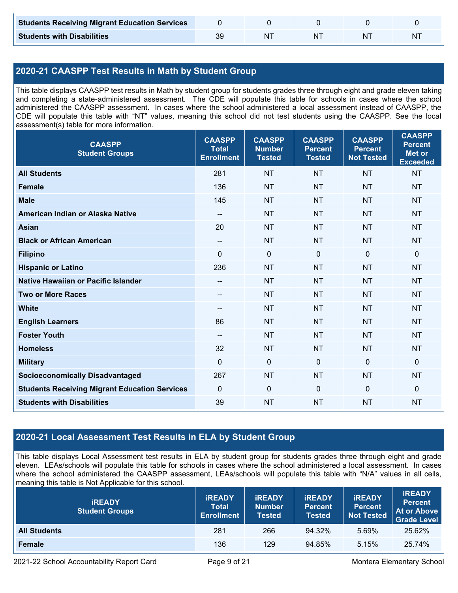| <b>Students Receiving Migrant Education Services</b> |  |    |  |
|------------------------------------------------------|--|----|--|
| <b>Students with Disabilities</b>                    |  | N. |  |

# **2020-21 CAASPP Test Results in Math by Student Group**

This table displays CAASPP test results in Math by student group for students grades three through eight and grade eleven taking and completing a state-administered assessment. The CDE will populate this table for schools in cases where the school administered the CAASPP assessment. In cases where the school administered a local assessment instead of CAASPP, the CDE will populate this table with "NT" values, meaning this school did not test students using the CAASPP. See the local assessment(s) table for more information.

| <b>CAASPP</b><br><b>Student Groups</b>               | <b>CAASPP</b><br><b>Total</b><br><b>Enrollment</b> | <b>CAASPP</b><br><b>Number</b><br><b>Tested</b> | <b>CAASPP</b><br><b>Percent</b><br><b>Tested</b> | <b>CAASPP</b><br><b>Percent</b><br><b>Not Tested</b> | <b>CAASPP</b><br><b>Percent</b><br><b>Met or</b><br><b>Exceeded</b> |
|------------------------------------------------------|----------------------------------------------------|-------------------------------------------------|--------------------------------------------------|------------------------------------------------------|---------------------------------------------------------------------|
| <b>All Students</b>                                  | 281                                                | <b>NT</b>                                       | <b>NT</b>                                        | <b>NT</b>                                            | <b>NT</b>                                                           |
| <b>Female</b>                                        | 136                                                | <b>NT</b>                                       | <b>NT</b>                                        | <b>NT</b>                                            | <b>NT</b>                                                           |
| <b>Male</b>                                          | 145                                                | <b>NT</b>                                       | <b>NT</b>                                        | <b>NT</b>                                            | <b>NT</b>                                                           |
| American Indian or Alaska Native                     | $\overline{\phantom{a}}$                           | <b>NT</b>                                       | <b>NT</b>                                        | <b>NT</b>                                            | <b>NT</b>                                                           |
| <b>Asian</b>                                         | 20                                                 | <b>NT</b>                                       | <b>NT</b>                                        | <b>NT</b>                                            | <b>NT</b>                                                           |
| <b>Black or African American</b>                     | $\overline{\phantom{a}}$                           | <b>NT</b>                                       | <b>NT</b>                                        | <b>NT</b>                                            | <b>NT</b>                                                           |
| <b>Filipino</b>                                      | $\Omega$                                           | $\mathbf 0$                                     | $\mathbf 0$                                      | $\mathbf{0}$                                         | $\mathbf 0$                                                         |
| <b>Hispanic or Latino</b>                            | 236                                                | <b>NT</b>                                       | <b>NT</b>                                        | <b>NT</b>                                            | <b>NT</b>                                                           |
| <b>Native Hawaiian or Pacific Islander</b>           | $\overline{\phantom{m}}$                           | <b>NT</b>                                       | <b>NT</b>                                        | <b>NT</b>                                            | <b>NT</b>                                                           |
| <b>Two or More Races</b>                             | --                                                 | <b>NT</b>                                       | <b>NT</b>                                        | <b>NT</b>                                            | <b>NT</b>                                                           |
| <b>White</b>                                         | $\overline{\phantom{m}}$                           | <b>NT</b>                                       | <b>NT</b>                                        | <b>NT</b>                                            | <b>NT</b>                                                           |
| <b>English Learners</b>                              | 86                                                 | <b>NT</b>                                       | <b>NT</b>                                        | <b>NT</b>                                            | <b>NT</b>                                                           |
| <b>Foster Youth</b>                                  | $\overline{\phantom{a}}$                           | <b>NT</b>                                       | <b>NT</b>                                        | <b>NT</b>                                            | <b>NT</b>                                                           |
| <b>Homeless</b>                                      | 32                                                 | <b>NT</b>                                       | <b>NT</b>                                        | <b>NT</b>                                            | <b>NT</b>                                                           |
| <b>Military</b>                                      | $\mathbf 0$                                        | $\mathbf 0$                                     | $\mathbf 0$                                      | $\mathbf 0$                                          | $\mathbf 0$                                                         |
| <b>Socioeconomically Disadvantaged</b>               | 267                                                | <b>NT</b>                                       | <b>NT</b>                                        | <b>NT</b>                                            | <b>NT</b>                                                           |
| <b>Students Receiving Migrant Education Services</b> | $\mathbf 0$                                        | $\mathbf 0$                                     | $\mathbf 0$                                      | $\mathbf 0$                                          | $\mathbf 0$                                                         |
| <b>Students with Disabilities</b>                    | 39                                                 | <b>NT</b>                                       | <b>NT</b>                                        | <b>NT</b>                                            | <b>NT</b>                                                           |

# **2020-21 Local Assessment Test Results in ELA by Student Group**

This table displays Local Assessment test results in ELA by student group for students grades three through eight and grade eleven. LEAs/schools will populate this table for schools in cases where the school administered a local assessment. In cases where the school administered the CAASPP assessment, LEAs/schools will populate this table with "N/A" values in all cells, meaning this table is Not Applicable for this school.

| <b>IREADY</b><br><b>Student Groups</b> | <b>IREADY</b><br><b>Total</b><br><b>Enrollment</b> | <b>IREADY</b><br><b>Number</b><br><b>Tested</b> | <b><i>IREADY</i></b><br><b>Percent</b><br><b>Tested</b> | <b>IREADY</b><br><b>Percent</b><br><b>Not Tested</b> | <b>IREADY</b><br><b>Percent</b><br><b>At or Above</b><br><b>Grade Level</b> |
|----------------------------------------|----------------------------------------------------|-------------------------------------------------|---------------------------------------------------------|------------------------------------------------------|-----------------------------------------------------------------------------|
| <b>All Students</b>                    | 281                                                | 266                                             | 94.32%                                                  | 5.69%                                                | 25.62%                                                                      |
| Female                                 | 136                                                | 129                                             | 94.85%                                                  | 5.15%                                                | 25.74%                                                                      |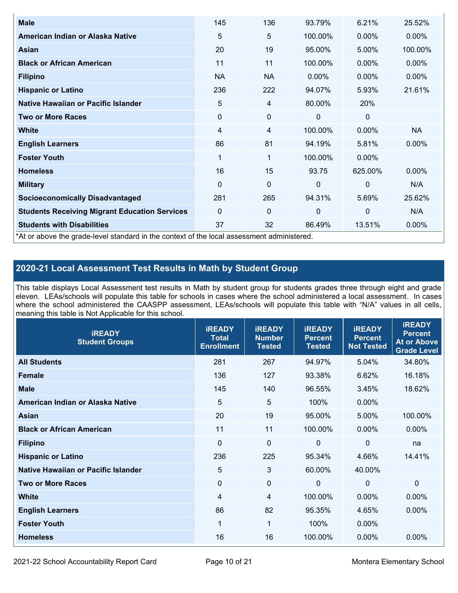| <b>Male</b>                                                                                | 145       | 136             | 93.79%       | 6.21%        | 25.52%    |
|--------------------------------------------------------------------------------------------|-----------|-----------------|--------------|--------------|-----------|
| American Indian or Alaska Native                                                           | 5         | $5\phantom{.0}$ | 100.00%      | 0.00%        | 0.00%     |
| Asian                                                                                      | 20        | 19              | 95.00%       | 5.00%        | 100.00%   |
| <b>Black or African American</b>                                                           | 11        | 11              | 100.00%      | 0.00%        | 0.00%     |
| <b>Filipino</b>                                                                            | <b>NA</b> | <b>NA</b>       | $0.00\%$     | 0.00%        | 0.00%     |
| <b>Hispanic or Latino</b>                                                                  | 236       | 222             | 94.07%       | 5.93%        | 21.61%    |
| Native Hawaiian or Pacific Islander                                                        | 5         | 4               | 80.00%       | 20%          |           |
| <b>Two or More Races</b>                                                                   | 0         | 0               | 0            | 0            |           |
| <b>White</b>                                                                               | 4         | 4               | 100.00%      | 0.00%        | <b>NA</b> |
| <b>English Learners</b>                                                                    | 86        | 81              | 94.19%       | 5.81%        | 0.00%     |
| <b>Foster Youth</b>                                                                        | 1         | 1               | 100.00%      | $0.00\%$     |           |
| <b>Homeless</b>                                                                            | 16        | 15              | 93.75        | 625.00%      | 0.00%     |
| <b>Military</b>                                                                            | $\Omega$  | 0               | $\mathbf{0}$ | $\mathbf{0}$ | N/A       |
| <b>Socioeconomically Disadvantaged</b>                                                     | 281       | 265             | 94.31%       | 5.69%        | 25.62%    |
| <b>Students Receiving Migrant Education Services</b>                                       | 0         | 0               | $\mathbf 0$  | $\mathbf 0$  | N/A       |
| <b>Students with Disabilities</b>                                                          | 37        | 32              | 86.49%       | 13.51%       | 0.00%     |
| *At or above the grade-level standard in the context of the local assessment administered. |           |                 |              |              |           |

# **2020-21 Local Assessment Test Results in Math by Student Group**

This table displays Local Assessment test results in Math by student group for students grades three through eight and grade eleven. LEAs/schools will populate this table for schools in cases where the school administered a local assessment. In cases where the school administered the CAASPP assessment, LEAs/schools will populate this table with "N/A" values in all cells, meaning this table is Not Applicable for this school.

| <b>IREADY</b><br><b>Student Groups</b> | <b>IREADY</b><br><b>Total</b><br><b>Enrollment</b> | <b>IREADY</b><br><b>Number</b><br><b>Tested</b> | <b>IREADY</b><br><b>Percent</b><br><b>Tested</b> | <b>IREADY</b><br><b>Percent</b><br><b>Not Tested</b> | <b>IREADY</b><br><b>Percent</b><br><b>At or Above</b><br><b>Grade Level</b> |
|----------------------------------------|----------------------------------------------------|-------------------------------------------------|--------------------------------------------------|------------------------------------------------------|-----------------------------------------------------------------------------|
| <b>All Students</b>                    | 281                                                | 267                                             | 94.97%                                           | 5.04%                                                | 34.80%                                                                      |
| <b>Female</b>                          | 136                                                | 127                                             | 93.38%                                           | 6.62%                                                | 16.18%                                                                      |
| <b>Male</b>                            | 145                                                | 140                                             | 96.55%                                           | 3.45%                                                | 18.62%                                                                      |
| American Indian or Alaska Native       | $\sqrt{5}$                                         | 5                                               | 100%                                             | 0.00%                                                |                                                                             |
| Asian                                  | 20                                                 | 19                                              | 95.00%                                           | 5.00%                                                | 100.00%                                                                     |
| <b>Black or African American</b>       | 11                                                 | 11                                              | 100.00%                                          | 0.00%                                                | 0.00%                                                                       |
| <b>Filipino</b>                        | $\Omega$                                           | $\mathbf 0$                                     | $\Omega$                                         | $\Omega$                                             | na                                                                          |
| <b>Hispanic or Latino</b>              | 236                                                | 225                                             | 95.34%                                           | 4.66%                                                | 14.41%                                                                      |
| Native Hawaiian or Pacific Islander    | 5                                                  | 3                                               | 60.00%                                           | 40.00%                                               |                                                                             |
| <b>Two or More Races</b>               | $\Omega$                                           | $\mathbf 0$                                     | $\Omega$                                         | $\mathbf{0}$                                         | $\mathbf{0}$                                                                |
| <b>White</b>                           | $\overline{4}$                                     | 4                                               | 100.00%                                          | $0.00\%$                                             | 0.00%                                                                       |
| <b>English Learners</b>                | 86                                                 | 82                                              | 95.35%                                           | 4.65%                                                | 0.00%                                                                       |
| <b>Foster Youth</b>                    | 1                                                  | 1                                               | 100%                                             | 0.00%                                                |                                                                             |
| <b>Homeless</b>                        | 16                                                 | 16                                              | 100.00%                                          | 0.00%                                                | 0.00%                                                                       |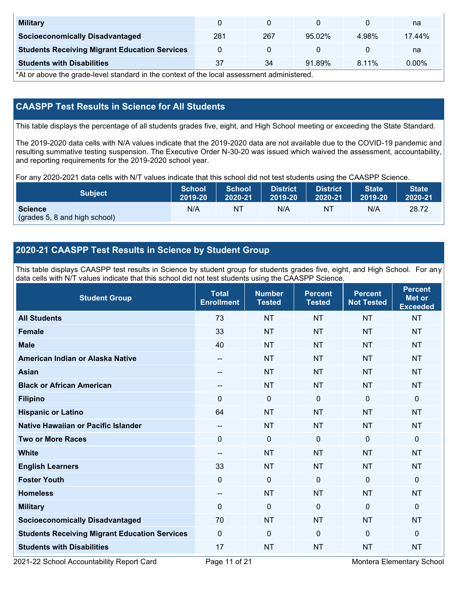| <b>Military</b>                                      |     |     |        |       | na     |
|------------------------------------------------------|-----|-----|--------|-------|--------|
| <b>Socioeconomically Disadvantaged</b>               | 281 | 267 | 95.02% | 4.98% | 17.44% |
| <b>Students Receiving Migrant Education Services</b> |     |     |        |       | na     |
| <b>Students with Disabilities</b>                    | 37  | 34  | 91.89% | 8.11% | 0.00%  |

\*At or above the grade-level standard in the context of the local assessment administered.

# **CAASPP Test Results in Science for All Students**

This table displays the percentage of all students grades five, eight, and High School meeting or exceeding the State Standard.

The 2019-2020 data cells with N/A values indicate that the 2019-2020 data are not available due to the COVID-19 pandemic and resulting summative testing suspension. The Executive Order N-30-20 was issued which waived the assessment, accountability, and reporting requirements for the 2019-2020 school year.

For any 2020-2021 data cells with N/T values indicate that this school did not test students using the CAASPP Science.

| <b>Subject</b>                                  | <b>School</b> | <b>School</b> | <b>District</b> | <b>District</b> | <b>State</b> | <b>State</b> |
|-------------------------------------------------|---------------|---------------|-----------------|-----------------|--------------|--------------|
|                                                 | 2019-20       | 2020-21       | 2019-20         | 2020-21         | 2019-20      | 2020-21      |
| <b>Science</b><br>(grades 5, 8 and high school) | N/A           | ΝT            | N/A             | N1              | N/A          | 28.72        |

# **2020-21 CAASPP Test Results in Science by Student Group**

This table displays CAASPP test results in Science by student group for students grades five, eight, and High School. For any data cells with N/T values indicate that this school did not test students using the CAASPP Science.

| <b>Student Group</b>                                 | <b>Total</b><br><b>Enrollment</b> | <b>Number</b><br><b>Tested</b> | <b>Percent</b><br><b>Tested</b> | <b>Percent</b><br><b>Not Tested</b> | <b>Percent</b><br><b>Met or</b><br><b>Exceeded</b> |
|------------------------------------------------------|-----------------------------------|--------------------------------|---------------------------------|-------------------------------------|----------------------------------------------------|
| <b>All Students</b>                                  | 73                                | <b>NT</b>                      | <b>NT</b>                       | <b>NT</b>                           | <b>NT</b>                                          |
| <b>Female</b>                                        | 33                                | <b>NT</b>                      | <b>NT</b>                       | <b>NT</b>                           | <b>NT</b>                                          |
| <b>Male</b>                                          | 40                                | <b>NT</b>                      | <b>NT</b>                       | <b>NT</b>                           | <b>NT</b>                                          |
| American Indian or Alaska Native                     | $\qquad \qquad -$                 | <b>NT</b>                      | <b>NT</b>                       | <b>NT</b>                           | <b>NT</b>                                          |
| <b>Asian</b>                                         | --                                | <b>NT</b>                      | <b>NT</b>                       | <b>NT</b>                           | <b>NT</b>                                          |
| <b>Black or African American</b>                     | $-$                               | <b>NT</b>                      | <b>NT</b>                       | <b>NT</b>                           | <b>NT</b>                                          |
| <b>Filipino</b>                                      | $\Omega$                          | $\mathbf 0$                    | $\mathbf{0}$                    | $\mathbf 0$                         | 0                                                  |
| <b>Hispanic or Latino</b>                            | 64                                | <b>NT</b>                      | <b>NT</b>                       | <b>NT</b>                           | <b>NT</b>                                          |
| <b>Native Hawaiian or Pacific Islander</b>           | --                                | <b>NT</b>                      | <b>NT</b>                       | <b>NT</b>                           | <b>NT</b>                                          |
| <b>Two or More Races</b>                             | $\mathbf{0}$                      | $\mathbf 0$                    | $\mathbf 0$                     | $\mathbf{0}$                        | 0                                                  |
| <b>White</b>                                         | $\qquad \qquad -$                 | <b>NT</b>                      | <b>NT</b>                       | <b>NT</b>                           | <b>NT</b>                                          |
| <b>English Learners</b>                              | 33                                | <b>NT</b>                      | <b>NT</b>                       | <b>NT</b>                           | <b>NT</b>                                          |
| <b>Foster Youth</b>                                  | $\mathbf 0$                       | $\mathbf 0$                    | $\mathbf 0$                     | $\mathbf 0$                         | 0                                                  |
| <b>Homeless</b>                                      | --                                | <b>NT</b>                      | <b>NT</b>                       | <b>NT</b>                           | <b>NT</b>                                          |
| <b>Military</b>                                      | $\mathbf 0$                       | $\mathbf 0$                    | $\mathbf 0$                     | $\mathbf 0$                         | 0                                                  |
| <b>Socioeconomically Disadvantaged</b>               | 70                                | <b>NT</b>                      | <b>NT</b>                       | <b>NT</b>                           | <b>NT</b>                                          |
| <b>Students Receiving Migrant Education Services</b> | $\mathbf{0}$                      | $\mathbf 0$                    | $\mathbf 0$                     | $\mathbf{0}$                        | 0                                                  |
| <b>Students with Disabilities</b>                    | 17                                | <b>NT</b>                      | <b>NT</b>                       | <b>NT</b>                           | <b>NT</b>                                          |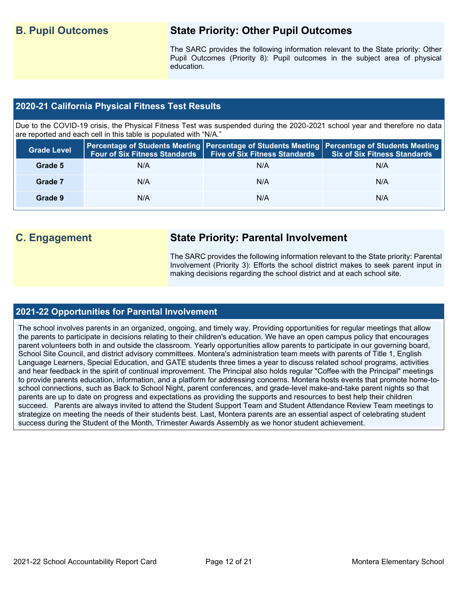# **B. Pupil Outcomes State Priority: Other Pupil Outcomes**

The SARC provides the following information relevant to the State priority: Other Pupil Outcomes (Priority 8): Pupil outcomes in the subject area of physical education.

## **2020-21 California Physical Fitness Test Results**

Due to the COVID-19 crisis, the Physical Fitness Test was suspended during the 2020-2021 school year and therefore no data are reported and each cell in this table is populated with "N/A."

| <b>Grade Level</b> | Four of Six Fitness Standards | Five of Six Fitness Standards   Six of Six Fitness Standards | <b>Percentage of Students Meeting   Percentage of Students Meeting   Percentage of Students Meeting  </b> |
|--------------------|-------------------------------|--------------------------------------------------------------|-----------------------------------------------------------------------------------------------------------|
| Grade 5            | N/A                           | N/A                                                          | N/A                                                                                                       |
| Grade 7            | N/A                           | N/A                                                          | N/A                                                                                                       |
| Grade 9            | N/A                           | N/A                                                          | N/A                                                                                                       |

# **C. Engagement State Priority: Parental Involvement**

The SARC provides the following information relevant to the State priority: Parental Involvement (Priority 3): Efforts the school district makes to seek parent input in making decisions regarding the school district and at each school site.

## **2021-22 Opportunities for Parental Involvement**

The school involves parents in an organized, ongoing, and timely way. Providing opportunities for regular meetings that allow the parents to participate in decisions relating to their children's education. We have an open campus policy that encourages parent volunteers both in and outside the classroom. Yearly opportunities allow parents to participate in our governing board, School Site Council, and district advisory committees. Montera's administration team meets with parents of Title 1, English Language Learners, Special Education, and GATE students three times a year to discuss related school programs, activities and hear feedback in the spirit of continual improvement. The Principal also holds regular "Coffee with the Principal" meetings to provide parents education, information, and a platform for addressing concerns. Montera hosts events that promote home-toschool connections, such as Back to School Night, parent conferences, and grade-level make-and-take parent nights so that parents are up to date on progress and expectations as providing the supports and resources to best help their children succeed. Parents are always invited to attend the Student Support Team and Student Attendance Review Team meetings to strategize on meeting the needs of their students best. Last, Montera parents are an essential aspect of celebrating student success during the Student of the Month, Trimester Awards Assembly as we honor student achievement.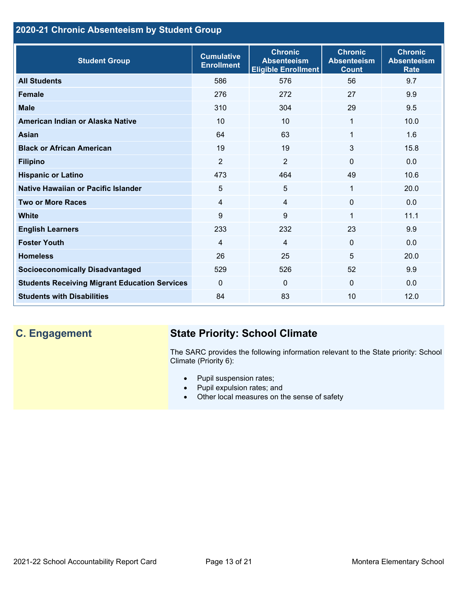# **2020-21 Chronic Absenteeism by Student Group**

| <b>Student Group</b>                                 | <b>Cumulative</b><br><b>Enrollment</b> | <b>Chronic</b><br><b>Absenteeism</b><br><b>Eligible Enrollment</b> | <b>Chronic</b><br><b>Absenteeism</b><br><b>Count</b> | <b>Chronic</b><br><b>Absenteeism</b><br><b>Rate</b> |
|------------------------------------------------------|----------------------------------------|--------------------------------------------------------------------|------------------------------------------------------|-----------------------------------------------------|
| <b>All Students</b>                                  | 586                                    | 576                                                                | 56                                                   | 9.7                                                 |
| <b>Female</b>                                        | 276                                    | 272                                                                | 27                                                   | 9.9                                                 |
| <b>Male</b>                                          | 310                                    | 304                                                                | 29                                                   | 9.5                                                 |
| American Indian or Alaska Native                     | 10                                     | 10                                                                 | 1                                                    | 10.0                                                |
| <b>Asian</b>                                         | 64                                     | 63                                                                 | 1                                                    | 1.6                                                 |
| <b>Black or African American</b>                     | 19                                     | 19                                                                 | 3                                                    | 15.8                                                |
| <b>Filipino</b>                                      | $\overline{2}$                         | $\overline{2}$                                                     | $\mathbf{0}$                                         | 0.0                                                 |
| <b>Hispanic or Latino</b>                            | 473                                    | 464                                                                | 49                                                   | 10.6                                                |
| <b>Native Hawaiian or Pacific Islander</b>           | 5                                      | 5                                                                  | 1                                                    | 20.0                                                |
| <b>Two or More Races</b>                             | 4                                      | 4                                                                  | $\mathbf{0}$                                         | 0.0                                                 |
| <b>White</b>                                         | 9                                      | 9                                                                  | 1                                                    | 11.1                                                |
| <b>English Learners</b>                              | 233                                    | 232                                                                | 23                                                   | 9.9                                                 |
| <b>Foster Youth</b>                                  | $\overline{4}$                         | $\overline{4}$                                                     | $\mathbf{0}$                                         | 0.0                                                 |
| <b>Homeless</b>                                      | 26                                     | 25                                                                 | 5                                                    | 20.0                                                |
| <b>Socioeconomically Disadvantaged</b>               | 529                                    | 526                                                                | 52                                                   | 9.9                                                 |
| <b>Students Receiving Migrant Education Services</b> | $\mathbf{0}$                           | $\mathbf 0$                                                        | $\Omega$                                             | 0.0                                                 |
| <b>Students with Disabilities</b>                    | 84                                     | 83                                                                 | 10                                                   | 12.0                                                |

# **C. Engagement State Priority: School Climate**

The SARC provides the following information relevant to the State priority: School Climate (Priority 6):

- Pupil suspension rates;
- Pupil expulsion rates; and
- Other local measures on the sense of safety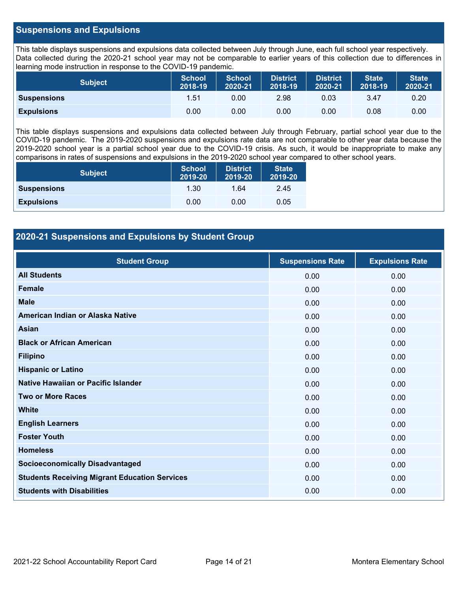### **Suspensions and Expulsions**

This table displays suspensions and expulsions data collected between July through June, each full school year respectively. Data collected during the 2020-21 school year may not be comparable to earlier years of this collection due to differences in learning mode instruction in response to the COVID-19 pandemic.

| <b>Subject</b>     | <b>School</b><br>2018-19 | <b>School</b><br>2020-21 | <b>District</b><br>2018-19 | <b>District</b><br>2020-21 | <b>State</b><br>2018-19 | <b>State</b><br>2020-21 |
|--------------------|--------------------------|--------------------------|----------------------------|----------------------------|-------------------------|-------------------------|
| <b>Suspensions</b> | 1.51                     | 0.00                     | 2.98                       | 0.03                       | 3.47                    | 0.20                    |
| <b>Expulsions</b>  | 0.00                     | 0.00                     | 0.00                       | 0.00                       | 0.08                    | 0.00                    |

This table displays suspensions and expulsions data collected between July through February, partial school year due to the COVID-19 pandemic. The 2019-2020 suspensions and expulsions rate data are not comparable to other year data because the 2019-2020 school year is a partial school year due to the COVID-19 crisis. As such, it would be inappropriate to make any comparisons in rates of suspensions and expulsions in the 2019-2020 school year compared to other school years.

| <b>Subject</b>     | <b>School</b><br>2019-20 | <b>District</b><br>2019-20 | <b>State</b><br>2019-20 |
|--------------------|--------------------------|----------------------------|-------------------------|
| <b>Suspensions</b> | 1.30                     | 1.64                       | 2.45                    |
| <b>Expulsions</b>  | 0.00                     | 0.00                       | 0.05                    |

## **2020-21 Suspensions and Expulsions by Student Group**

| <b>Student Group</b>                                 | <b>Suspensions Rate</b> | <b>Expulsions Rate</b> |
|------------------------------------------------------|-------------------------|------------------------|
| <b>All Students</b>                                  | 0.00                    | 0.00                   |
| <b>Female</b>                                        | 0.00                    | 0.00                   |
| <b>Male</b>                                          | 0.00                    | 0.00                   |
| American Indian or Alaska Native                     | 0.00                    | 0.00                   |
| <b>Asian</b>                                         | 0.00                    | 0.00                   |
| <b>Black or African American</b>                     | 0.00                    | 0.00                   |
| <b>Filipino</b>                                      | 0.00                    | 0.00                   |
| <b>Hispanic or Latino</b>                            | 0.00                    | 0.00                   |
| Native Hawaiian or Pacific Islander                  | 0.00                    | 0.00                   |
| <b>Two or More Races</b>                             | 0.00                    | 0.00                   |
| <b>White</b>                                         | 0.00                    | 0.00                   |
| <b>English Learners</b>                              | 0.00                    | 0.00                   |
| <b>Foster Youth</b>                                  | 0.00                    | 0.00                   |
| <b>Homeless</b>                                      | 0.00                    | 0.00                   |
| <b>Socioeconomically Disadvantaged</b>               | 0.00                    | 0.00                   |
| <b>Students Receiving Migrant Education Services</b> | 0.00                    | 0.00                   |
| <b>Students with Disabilities</b>                    | 0.00                    | 0.00                   |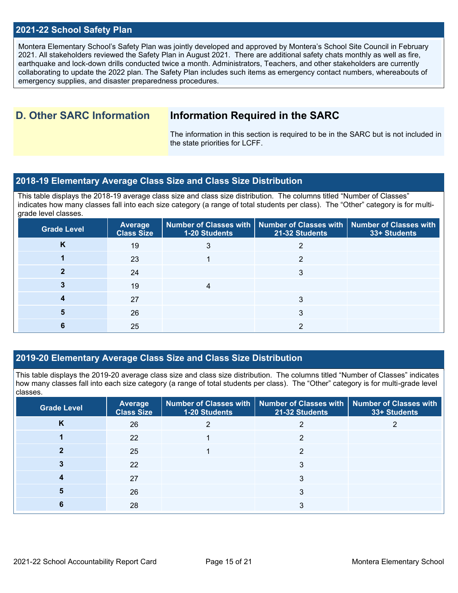### **2021-22 School Safety Plan**

Montera Elementary School's Safety Plan was jointly developed and approved by Montera's School Site Council in February 2021. All stakeholders reviewed the Safety Plan in August 2021. There are additional safety chats monthly as well as fire, earthquake and lock-down drills conducted twice a month. Administrators, Teachers, and other stakeholders are currently collaborating to update the 2022 plan. The Safety Plan includes such items as emergency contact numbers, whereabouts of emergency supplies, and disaster preparedness procedures.

# **D. Other SARC Information Information Required in the SARC**

The information in this section is required to be in the SARC but is not included in the state priorities for LCFF.

### **2018-19 Elementary Average Class Size and Class Size Distribution**

This table displays the 2018-19 average class size and class size distribution. The columns titled "Number of Classes" indicates how many classes fall into each size category (a range of total students per class). The "Other" category is for multigrade level classes.

| <b>Grade Level</b> | <b>Average</b><br><b>Class Size</b> | 1-20 Students | Number of Classes with   Number of Classes with   Number of Classes with<br>21-32 Students | 33+ Students |
|--------------------|-------------------------------------|---------------|--------------------------------------------------------------------------------------------|--------------|
| K                  | 19                                  | 3             |                                                                                            |              |
|                    | 23                                  |               | ◠                                                                                          |              |
|                    | 24                                  |               | 3                                                                                          |              |
|                    | 19                                  |               |                                                                                            |              |
|                    | 27                                  |               |                                                                                            |              |
|                    | 26                                  |               | 3                                                                                          |              |
|                    | 25                                  |               |                                                                                            |              |

### **2019-20 Elementary Average Class Size and Class Size Distribution**

This table displays the 2019-20 average class size and class size distribution. The columns titled "Number of Classes" indicates how many classes fall into each size category (a range of total students per class). The "Other" category is for multi-grade level classes.

| <b>Grade Level</b> | <b>Average</b><br><b>Class Size</b> | 1-20 Students | Number of Classes with   Number of Classes with   Number of Classes with<br>21-32 Students | 33+ Students |
|--------------------|-------------------------------------|---------------|--------------------------------------------------------------------------------------------|--------------|
| n.                 | 26                                  |               |                                                                                            |              |
|                    | 22                                  |               | ◠                                                                                          |              |
|                    | 25                                  |               | າ                                                                                          |              |
|                    | 22                                  |               | 3                                                                                          |              |
|                    | 27                                  |               |                                                                                            |              |
|                    | 26                                  |               |                                                                                            |              |
|                    | 28                                  |               |                                                                                            |              |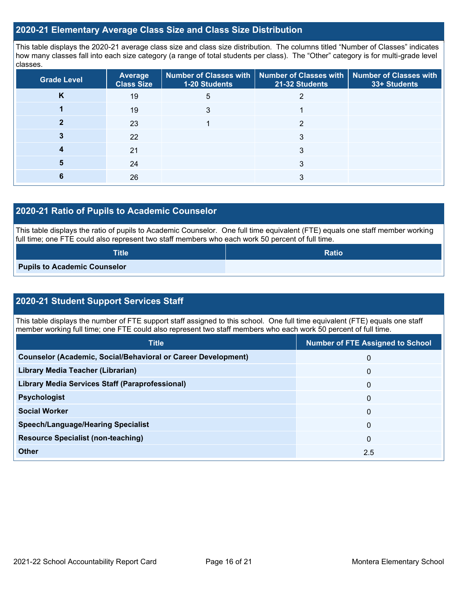### **2020-21 Elementary Average Class Size and Class Size Distribution**

This table displays the 2020-21 average class size and class size distribution. The columns titled "Number of Classes" indicates how many classes fall into each size category (a range of total students per class). The "Other" category is for multi-grade level classes.

| <b>Grade Level</b> | <b>Average</b><br><b>Class Size</b> | 1-20 Students | Number of Classes with   Number of Classes with   Number of Classes with<br>21-32 Students | 33+ Students |
|--------------------|-------------------------------------|---------------|--------------------------------------------------------------------------------------------|--------------|
| <b>n</b>           | 19                                  | 5             |                                                                                            |              |
|                    | 19                                  | 3             |                                                                                            |              |
|                    | 23                                  |               |                                                                                            |              |
|                    | 22                                  |               | 3                                                                                          |              |
|                    | 21                                  |               | 3                                                                                          |              |
|                    | 24                                  |               |                                                                                            |              |
|                    | 26                                  |               | ົ                                                                                          |              |

## **2020-21 Ratio of Pupils to Academic Counselor**

This table displays the ratio of pupils to Academic Counselor. One full time equivalent (FTE) equals one staff member working full time; one FTE could also represent two staff members who each work 50 percent of full time.

| $\mathsf{T}\mathsf{itle}^{\mathsf{T}}$ | <b>Ratio</b> |
|----------------------------------------|--------------|
| <b>Pupils to Academic Counselor</b>    |              |

# **2020-21 Student Support Services Staff**

This table displays the number of FTE support staff assigned to this school. One full time equivalent (FTE) equals one staff member working full time; one FTE could also represent two staff members who each work 50 percent of full time.

| <b>Title</b>                                                         | <b>Number of FTE Assigned to School</b> |
|----------------------------------------------------------------------|-----------------------------------------|
| <b>Counselor (Academic, Social/Behavioral or Career Development)</b> | 0                                       |
| Library Media Teacher (Librarian)                                    | 0                                       |
| <b>Library Media Services Staff (Paraprofessional)</b>               | $\mathbf{0}$                            |
| <b>Psychologist</b>                                                  | $\Omega$                                |
| <b>Social Worker</b>                                                 | $\mathbf{0}$                            |
| <b>Speech/Language/Hearing Specialist</b>                            | $\mathbf{0}$                            |
| <b>Resource Specialist (non-teaching)</b>                            | $\mathbf{0}$                            |
| <b>Other</b>                                                         | 2.5                                     |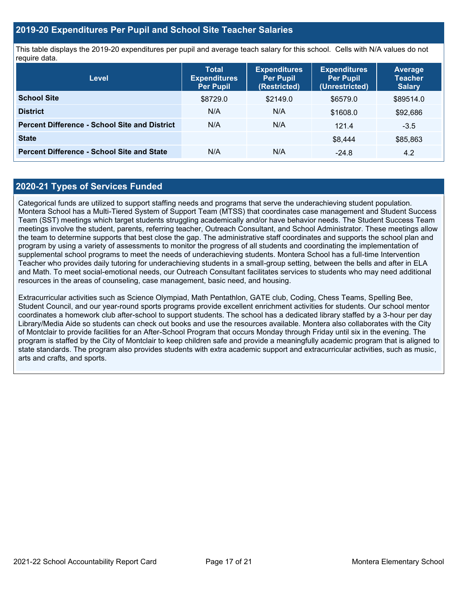### **2019-20 Expenditures Per Pupil and School Site Teacher Salaries**

This table displays the 2019-20 expenditures per pupil and average teach salary for this school. Cells with N/A values do not require data.

| Level                                                | <b>Total</b><br><b>Expenditures</b><br><b>Per Pupil</b> | <b>Expenditures</b><br><b>Per Pupil</b><br>(Restricted) | <b>Expenditures</b><br><b>Per Pupil</b><br>(Unrestricted) | Average<br><b>Teacher</b><br><b>Salary</b> |
|------------------------------------------------------|---------------------------------------------------------|---------------------------------------------------------|-----------------------------------------------------------|--------------------------------------------|
| <b>School Site</b>                                   | \$8729.0                                                | \$2149.0                                                | \$6579.0                                                  | \$89514.0                                  |
| <b>District</b>                                      | N/A                                                     | N/A                                                     | \$1608.0                                                  | \$92,686                                   |
| <b>Percent Difference - School Site and District</b> | N/A                                                     | N/A                                                     | 121.4                                                     | $-3.5$                                     |
| <b>State</b>                                         |                                                         |                                                         | \$8,444                                                   | \$85,863                                   |
| <b>Percent Difference - School Site and State</b>    | N/A                                                     | N/A                                                     | $-24.8$                                                   | 4.2                                        |

# **2020-21 Types of Services Funded**

Categorical funds are utilized to support staffing needs and programs that serve the underachieving student population. Montera School has a Multi-Tiered System of Support Team (MTSS) that coordinates case management and Student Success Team (SST) meetings which target students struggling academically and/or have behavior needs. The Student Success Team meetings involve the student, parents, referring teacher, Outreach Consultant, and School Administrator. These meetings allow the team to determine supports that best close the gap. The administrative staff coordinates and supports the school plan and program by using a variety of assessments to monitor the progress of all students and coordinating the implementation of supplemental school programs to meet the needs of underachieving students. Montera School has a full-time Intervention Teacher who provides daily tutoring for underachieving students in a small-group setting, between the bells and after in ELA and Math. To meet social-emotional needs, our Outreach Consultant facilitates services to students who may need additional resources in the areas of counseling, case management, basic need, and housing.

Extracurricular activities such as Science Olympiad, Math Pentathlon, GATE club, Coding, Chess Teams, Spelling Bee, Student Council, and our year-round sports programs provide excellent enrichment activities for students. Our school mentor coordinates a homework club after-school to support students. The school has a dedicated library staffed by a 3-hour per day Library/Media Aide so students can check out books and use the resources available. Montera also collaborates with the City of Montclair to provide facilities for an After-School Program that occurs Monday through Friday until six in the evening. The program is staffed by the City of Montclair to keep children safe and provide a meaningfully academic program that is aligned to state standards. The program also provides students with extra academic support and extracurricular activities, such as music, arts and crafts, and sports.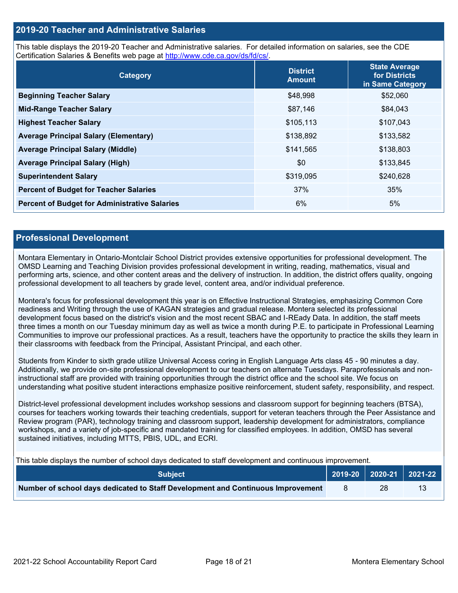### **2019-20 Teacher and Administrative Salaries**

This table displays the 2019-20 Teacher and Administrative salaries. For detailed information on salaries, see the CDE Certification Salaries & Benefits web page at [http://www.cde.ca.gov/ds/fd/cs/.](http://www.cde.ca.gov/ds/fd/cs/)

| Category                                             | <b>District</b><br><b>Amount</b> | <b>State Average</b><br>for Districts<br>in Same Category |
|------------------------------------------------------|----------------------------------|-----------------------------------------------------------|
| <b>Beginning Teacher Salary</b>                      | \$48,998                         | \$52,060                                                  |
| <b>Mid-Range Teacher Salary</b>                      | \$87,146                         | \$84,043                                                  |
| <b>Highest Teacher Salary</b>                        | \$105,113                        | \$107,043                                                 |
| <b>Average Principal Salary (Elementary)</b>         | \$138,892                        | \$133,582                                                 |
| <b>Average Principal Salary (Middle)</b>             | \$141,565                        | \$138,803                                                 |
| <b>Average Principal Salary (High)</b>               | \$0                              | \$133,845                                                 |
| <b>Superintendent Salary</b>                         | \$319,095                        | \$240,628                                                 |
| <b>Percent of Budget for Teacher Salaries</b>        | 37%                              | 35%                                                       |
| <b>Percent of Budget for Administrative Salaries</b> | 6%                               | 5%                                                        |

### **Professional Development**

Montara Elementary in Ontario-Montclair School District provides extensive opportunities for professional development. The OMSD Learning and Teaching Division provides professional development in writing, reading, mathematics, visual and performing arts, science, and other content areas and the delivery of instruction. In addition, the district offers quality, ongoing professional development to all teachers by grade level, content area, and/or individual preference.

Montera's focus for professional development this year is on Effective Instructional Strategies, emphasizing Common Core readiness and Writing through the use of KAGAN strategies and gradual release. Montera selected its professional development focus based on the district's vision and the most recent SBAC and I-REady Data. In addition, the staff meets three times a month on our Tuesday minimum day as well as twice a month during P.E. to participate in Professional Learning Communities to improve our professional practices. As a result, teachers have the opportunity to practice the skills they learn in their classrooms with feedback from the Principal, Assistant Principal, and each other.

Students from Kinder to sixth grade utilize Universal Access coring in English Language Arts class 45 - 90 minutes a day. Additionally, we provide on-site professional development to our teachers on alternate Tuesdays. Paraprofessionals and noninstructional staff are provided with training opportunities through the district office and the school site. We focus on understanding what positive student interactions emphasize positive reinforcement, student safety, responsibility, and respect.

District-level professional development includes workshop sessions and classroom support for beginning teachers (BTSA), courses for teachers working towards their teaching credentials, support for veteran teachers through the Peer Assistance and Review program (PAR), technology training and classroom support, leadership development for administrators, compliance workshops, and a variety of job-specific and mandated training for classified employees. In addition, OMSD has several sustained initiatives, including MTTS, PBIS, UDL, and ECRI.

This table displays the number of school days dedicated to staff development and continuous improvement.

| <b>Subiect</b> \                                                                | 2019-20   2020-21   2021-22 |    |
|---------------------------------------------------------------------------------|-----------------------------|----|
| Number of school days dedicated to Staff Development and Continuous Improvement | 28                          | 13 |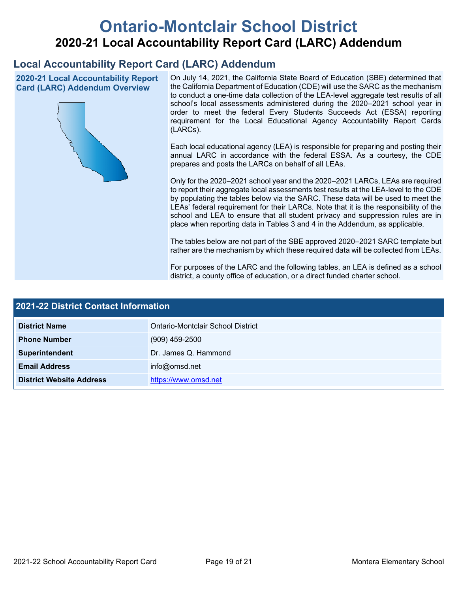# **Ontario-Montclair School District 2020-21 Local Accountability Report Card (LARC) Addendum**

# **Local Accountability Report Card (LARC) Addendum**

**2020-21 Local Accountability Report Card (LARC) Addendum Overview**



On July 14, 2021, the California State Board of Education (SBE) determined that the California Department of Education (CDE) will use the SARC as the mechanism to conduct a one-time data collection of the LEA-level aggregate test results of all school's local assessments administered during the 2020–2021 school year in order to meet the federal Every Students Succeeds Act (ESSA) reporting requirement for the Local Educational Agency Accountability Report Cards (LARCs).

Each local educational agency (LEA) is responsible for preparing and posting their annual LARC in accordance with the federal ESSA. As a courtesy, the CDE prepares and posts the LARCs on behalf of all LEAs.

Only for the 2020–2021 school year and the 2020–2021 LARCs, LEAs are required to report their aggregate local assessments test results at the LEA-level to the CDE by populating the tables below via the SARC. These data will be used to meet the LEAs' federal requirement for their LARCs. Note that it is the responsibility of the school and LEA to ensure that all student privacy and suppression rules are in place when reporting data in Tables 3 and 4 in the Addendum, as applicable.

The tables below are not part of the SBE approved 2020–2021 SARC template but rather are the mechanism by which these required data will be collected from LEAs.

For purposes of the LARC and the following tables, an LEA is defined as a school district, a county office of education, or a direct funded charter school.

| 2021-22 District Contact Information |                                   |  |  |
|--------------------------------------|-----------------------------------|--|--|
| <b>District Name</b>                 | Ontario-Montclair School District |  |  |
| <b>Phone Number</b>                  | $(909)$ 459-2500                  |  |  |
| Superintendent                       | Dr. James Q. Hammond              |  |  |
| <b>Email Address</b>                 | info@omsd.net                     |  |  |
| <b>District Website Address</b>      | https://www.omsd.net              |  |  |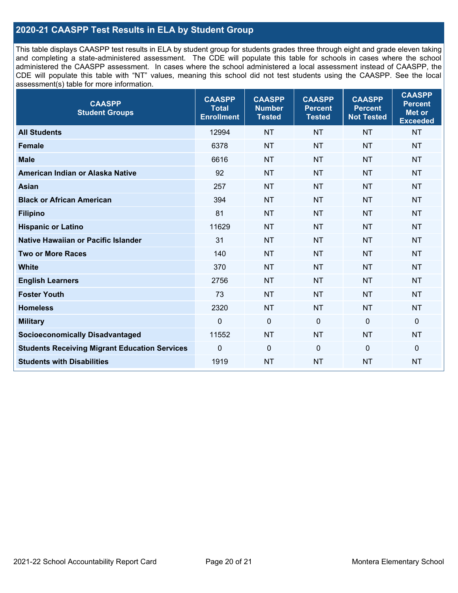# **2020-21 CAASPP Test Results in ELA by Student Group**

This table displays CAASPP test results in ELA by student group for students grades three through eight and grade eleven taking and completing a state-administered assessment. The CDE will populate this table for schools in cases where the school administered the CAASPP assessment. In cases where the school administered a local assessment instead of CAASPP, the CDE will populate this table with "NT" values, meaning this school did not test students using the CAASPP. See the local assessment(s) table for more information.

| <b>CAASPP</b><br><b>Student Groups</b>               | <b>CAASPP</b><br><b>Total</b><br><b>Enrollment</b> | <b>CAASPP</b><br><b>Number</b><br><b>Tested</b> | <b>CAASPP</b><br><b>Percent</b><br><b>Tested</b> | <b>CAASPP</b><br><b>Percent</b><br><b>Not Tested</b> | <b>CAASPP</b><br><b>Percent</b><br>Met or<br><b>Exceeded</b> |
|------------------------------------------------------|----------------------------------------------------|-------------------------------------------------|--------------------------------------------------|------------------------------------------------------|--------------------------------------------------------------|
| <b>All Students</b>                                  | 12994                                              | <b>NT</b>                                       | <b>NT</b>                                        | <b>NT</b>                                            | <b>NT</b>                                                    |
| <b>Female</b>                                        | 6378                                               | <b>NT</b>                                       | <b>NT</b>                                        | <b>NT</b>                                            | <b>NT</b>                                                    |
| <b>Male</b>                                          | 6616                                               | <b>NT</b>                                       | <b>NT</b>                                        | <b>NT</b>                                            | <b>NT</b>                                                    |
| American Indian or Alaska Native                     | 92                                                 | <b>NT</b>                                       | <b>NT</b>                                        | <b>NT</b>                                            | <b>NT</b>                                                    |
| <b>Asian</b>                                         | 257                                                | <b>NT</b>                                       | <b>NT</b>                                        | <b>NT</b>                                            | <b>NT</b>                                                    |
| <b>Black or African American</b>                     | 394                                                | <b>NT</b>                                       | <b>NT</b>                                        | <b>NT</b>                                            | <b>NT</b>                                                    |
| <b>Filipino</b>                                      | 81                                                 | <b>NT</b>                                       | <b>NT</b>                                        | <b>NT</b>                                            | <b>NT</b>                                                    |
| <b>Hispanic or Latino</b>                            | 11629                                              | <b>NT</b>                                       | <b>NT</b>                                        | <b>NT</b>                                            | <b>NT</b>                                                    |
| <b>Native Hawaiian or Pacific Islander</b>           | 31                                                 | <b>NT</b>                                       | <b>NT</b>                                        | <b>NT</b>                                            | <b>NT</b>                                                    |
| <b>Two or More Races</b>                             | 140                                                | <b>NT</b>                                       | <b>NT</b>                                        | <b>NT</b>                                            | <b>NT</b>                                                    |
| <b>White</b>                                         | 370                                                | <b>NT</b>                                       | <b>NT</b>                                        | <b>NT</b>                                            | <b>NT</b>                                                    |
| <b>English Learners</b>                              | 2756                                               | <b>NT</b>                                       | <b>NT</b>                                        | <b>NT</b>                                            | <b>NT</b>                                                    |
| <b>Foster Youth</b>                                  | 73                                                 | <b>NT</b>                                       | <b>NT</b>                                        | <b>NT</b>                                            | <b>NT</b>                                                    |
| <b>Homeless</b>                                      | 2320                                               | <b>NT</b>                                       | <b>NT</b>                                        | <b>NT</b>                                            | <b>NT</b>                                                    |
| <b>Military</b>                                      | $\mathbf 0$                                        | $\mathbf 0$                                     | $\mathbf 0$                                      | $\mathbf 0$                                          | 0                                                            |
| <b>Socioeconomically Disadvantaged</b>               | 11552                                              | <b>NT</b>                                       | <b>NT</b>                                        | <b>NT</b>                                            | <b>NT</b>                                                    |
| <b>Students Receiving Migrant Education Services</b> | 0                                                  | $\mathbf 0$                                     | $\mathbf{0}$                                     | $\mathbf 0$                                          | 0                                                            |
| <b>Students with Disabilities</b>                    | 1919                                               | <b>NT</b>                                       | <b>NT</b>                                        | <b>NT</b>                                            | <b>NT</b>                                                    |